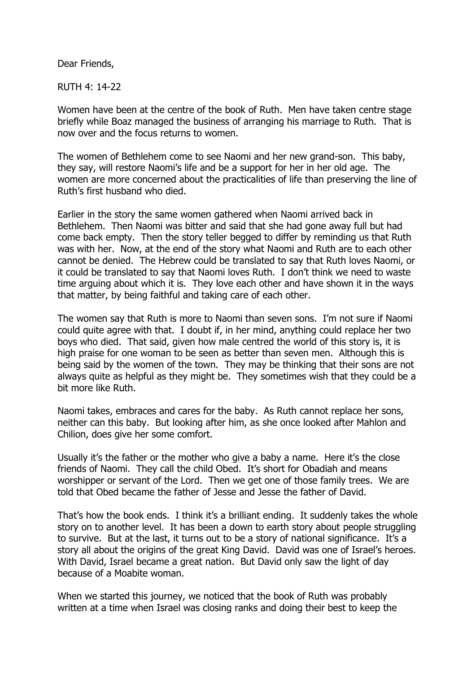Dear Friends,

RUTH 4: 14-22

Women have been at the centre of the book of Ruth. Men have taken centre stage briefly while Boaz managed the business of arranging his marriage to Ruth. That is now over and the focus returns to women.

The women of Bethlehem come to see Naomi and her new grand-son. This baby, they say, will restore Naomi's life and be a support for her in her old age. The women are more concerned about the practicalities of life than preserving the line of Ruth's first husband who died.

Earlier in the story the same women gathered when Naomi arrived back in Bethlehem. Then Naomi was bitter and said that she had gone away full but had come back empty. Then the story teller begged to differ by reminding us that Ruth was with her. Now, at the end of the story what Naomi and Ruth are to each other cannot be denied. The Hebrew could be translated to say that Ruth loves Naomi, or it could be translated to say that Naomi loves Ruth. I don't think we need to waste time arguing about which it is. They love each other and have shown it in the ways that matter, by being faithful and taking care of each other.

The women say that Ruth is more to Naomi than seven sons. I'm not sure if Naomi could quite agree with that. I doubt if, in her mind, anything could replace her two boys who died. That said, given how male centred the world of this story is, it is high praise for one woman to be seen as better than seven men. Although this is being said by the women of the town. They may be thinking that their sons are not always quite as helpful as they might be. They sometimes wish that they could be a bit more like Ruth.

Naomi takes, embraces and cares for the baby. As Ruth cannot replace her sons, neither can this baby. But looking after him, as she once looked after Mahlon and Chilion, does give her some comfort.

Usually it's the father or the mother who give a baby a name. Here it's the close friends of Naomi. They call the child Obed. It's short for Obadiah and means worshipper or servant of the Lord. Then we get one of those family trees. We are told that Obed became the father of Jesse and Jesse the father of David.

That's how the book ends. I think it's a brilliant ending. It suddenly takes the whole story on to another level. It has been a down to earth story about people struggling to survive. But at the last, it turns out to be a story of national significance. It's a story all about the origins of the great King David. David was one of Israel's heroes. With David, Israel became a great nation. But David only saw the light of day because of a Moabite woman.

When we started this journey, we noticed that the book of Ruth was probably written at a time when Israel was closing ranks and doing their best to keep the